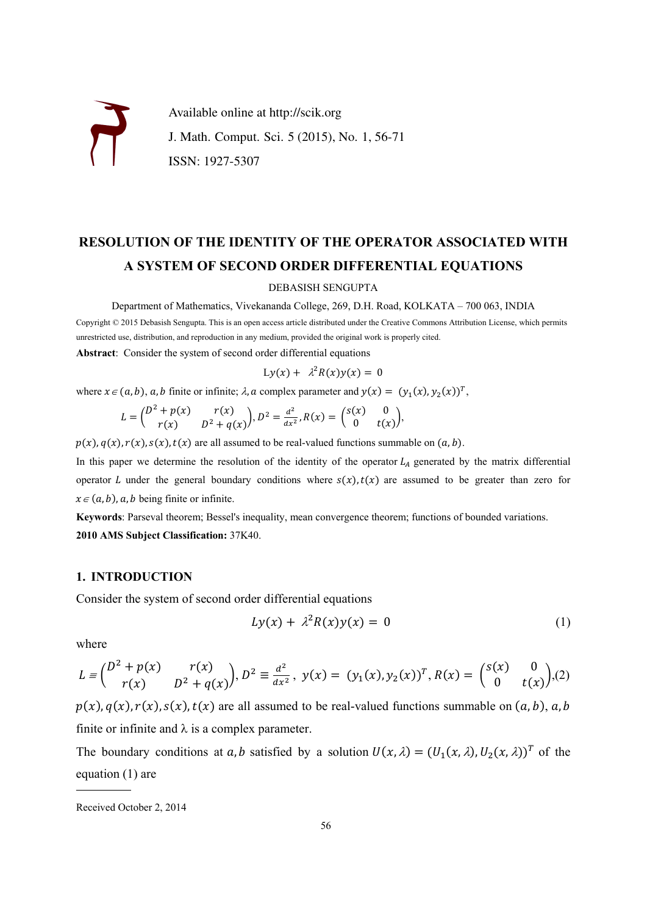

# **RESOLUTION OF THE IDENTITY OF THE OPERATOR ASSOCIATED WITH A SYSTEM OF SECOND ORDER DIFFERENTIAL EQUATIONS**

#### DEBASISH SENGUPTA

Department of Mathematics, Vivekananda College, 269, D.H. Road, KOLKATA – 700 063, INDIA

Copyright © 2015 Debasish Sengupta. This is an open access article distributed under the Creative Commons Attribution License, which permits unrestricted use, distribution, and reproduction in any medium, provided the original work is properly cited.

**Abstract**: Consider the system of second order differential equations

$$
Ly(x) + \lambda^2 R(x) y(x) = 0
$$

where  $x \in (a, b)$ ,  $a, b$  finite or infinite;  $\lambda$ ,  $a$  complex parameter and  $y(x) = (y_1(x), y_2(x))^T$ ,

$$
L = \begin{pmatrix} D^2 + p(x) & r(x) \\ r(x) & D^2 + q(x) \end{pmatrix}, D^2 = \frac{d^2}{dx^2}, R(x) = \begin{pmatrix} S(x) & 0 \\ 0 & t(x) \end{pmatrix},
$$

 $p(x), q(x), r(x), s(x), t(x)$  are all assumed to be real-valued functions summable on  $(a, b)$ .

In this paper we determine the resolution of the identity of the operator  $L_A$  generated by the matrix differential operator L under the general boundary conditions where  $s(x)$ ,  $t(x)$  are assumed to be greater than zero for  $x \in (a, b)$ , a, b being finite or infinite.

**Keywords**: Parseval theorem; Bessel's inequality, mean convergence theorem; functions of bounded variations. **2010 AMS Subject Classification:** 37K40.

### **1. INTRODUCTION**

Consider the system of second order differential equations

$$
Ly(x) + \lambda^2 R(x)y(x) = 0 \tag{1}
$$

where

$$
L = \begin{pmatrix} D^2 + p(x) & r(x) \\ r(x) & D^2 + q(x) \end{pmatrix}, D^2 \equiv \frac{d^2}{dx^2}, \ y(x) = (y_1(x), y_2(x))^T, R(x) = \begin{pmatrix} S(x) & 0 \\ 0 & t(x) \end{pmatrix}, (2)
$$

 $p(x)$ ,  $q(x)$ ,  $r(x)$ ,  $s(x)$ ,  $t(x)$  are all assumed to be real-valued functions summable on  $(a, b)$ ,  $a, b$ finite or infinite and  $\lambda$  is a complex parameter.

The boundary conditions at a, b satisfied by a solution  $U(x, \lambda) = (U_1(x, \lambda), U_2(x, \lambda))^T$  of the equation (1) are

 $\frac{1}{2}$  ,  $\frac{1}{2}$  ,  $\frac{1}{2}$  ,  $\frac{1}{2}$  ,  $\frac{1}{2}$  ,  $\frac{1}{2}$ 

Received October 2, 2014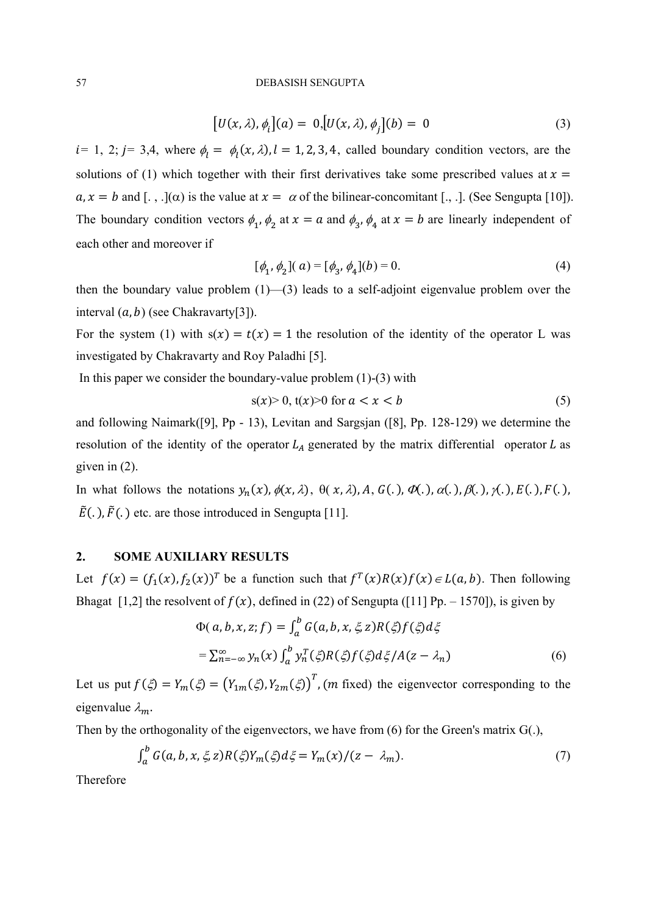#### 57 DEBASISH SENGUPTA

$$
[U(x, \lambda), \phi_i](a) = 0, [U(x, \lambda), \phi_j](b) = 0
$$
\n(3)

 $i= 1, 2; j= 3,4$ , where  $\phi_l = \phi_l(x, \lambda), l = 1, 2, 3, 4$ , called boundary condition vectors, are the solutions of (1) which together with their first derivatives take some prescribed values at  $x =$  $a, x = b$  and [., .]( $\alpha$ ) is the value at  $x = \alpha$  of the bilinear-concomitant [., .]. (See Sengupta [10]). The boundary condition vectors  $\phi_1$ ,  $\phi_2$  at  $x = a$  and  $\phi_3$ ,  $\phi_4$  at  $x = b$  are linearly independent of each other and moreover if

$$
[\phi_1, \phi_2](a) = [\phi_3, \phi_4](b) = 0.
$$
 (4)

then the boundary value problem (1)—(3) leads to a self-adjoint eigenvalue problem over the interval  $(a, b)$  (see Chakravarty[3]).

For the system (1) with  $s(x) = t(x) = 1$  the resolution of the identity of the operator L was investigated by Chakravarty and Roy Paladhi [5].

In this paper we consider the boundary-value problem  $(1)-(3)$  with

$$
s(x) > 0, \, t(x) > 0 \text{ for } a < x < b \tag{5}
$$

and following Naimark([9], Pp - 13), Levitan and Sargsjan ([8], Pp. 128-129) we determine the resolution of the identity of the operator  $L_A$  generated by the matrix differential operator L as given in (2).

In what follows the notations  $y_n(x)$ ,  $\phi(x, \lambda)$ ,  $\theta(x, \lambda)$ ,  $A$ ,  $G(.)$ ,  $\phi(.)$ ,  $\phi(.)$ ,  $\phi(.)$ ,  $\phi(.)$ ,  $F(.)$ ,  $F(.)$ ,  $\tilde{E}(.)$ ,  $\tilde{F}(.)$  etc. are those introduced in Sengupta [11].

# **2. SOME AUXILIARY RESULTS**

Let  $f(x) = (f_1(x), f_2(x))^T$  be a function such that  $f^T(x)R(x)f(x) \in L(a, b)$ . Then following Bhagat [1,2] the resolvent of  $f(x)$ , defined in (22) of Sengupta ([11] Pp. – 1570]), is given by

$$
\Phi(a, b, x, z; f) = \int_a^b G(a, b, x, \xi, z) R(\xi) f(\xi) d\xi
$$
  
= 
$$
\sum_{n=-\infty}^{\infty} y_n(x) \int_a^b y_n^T(\xi) R(\xi) f(\xi) d\xi / A(z - \lambda_n)
$$
 (6)

Let us put  $f(\xi) = Y_m(\xi) = (Y_{1m}(\xi), Y_{2m}(\xi))^T$ , (*m* fixed) the eigenvector corresponding to the eigenvalue  $\lambda_m$ .

Then by the orthogonality of the eigenvectors, we have from (6) for the Green's matrix G(.),

$$
\int_a^b G(a, b, x, \xi, z) R(\xi) Y_m(\xi) d\xi = Y_m(x) / (z - \lambda_m). \tag{7}
$$

Therefore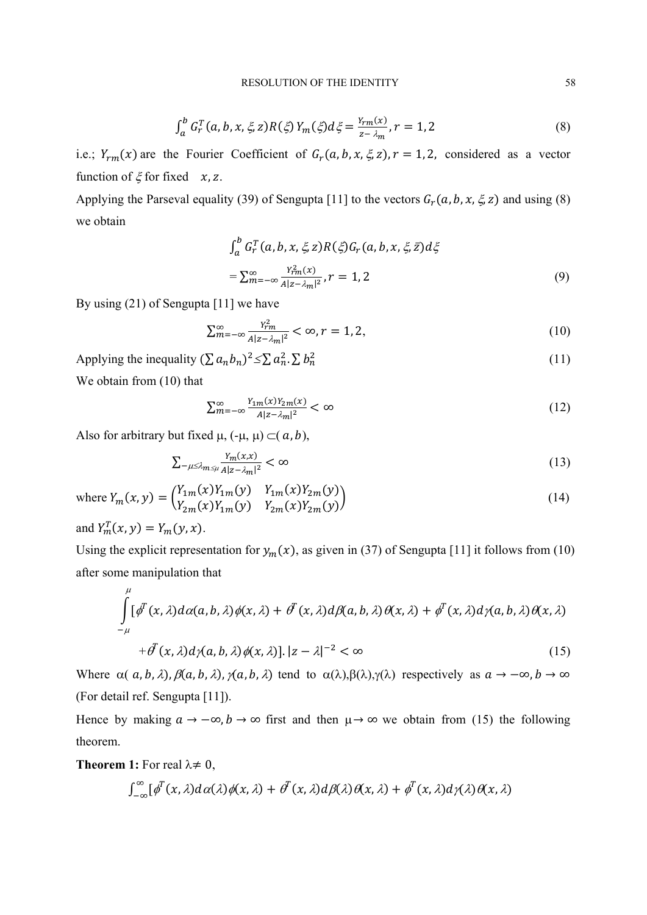$$
\int_{a}^{b} G_{r}^{T}(a, b, x, \xi, z) R(\xi) Y_{m}(\xi) d\xi = \frac{Y_{rm}(x)}{z - \lambda_{m}}, r = 1, 2
$$
\n(8)

i.e.;  $Y_{rm}(x)$  are the Fourier Coefficient of  $G_r(a, b, x, \xi, z)$ ,  $r = 1, 2$ , considered as a vector function of  $\xi$  for fixed  $x, z$ .

Applying the Parseval equality (39) of Sengupta [11] to the vectors  $G_r(a, b, x, \xi, z)$  and using (8) we obtain

$$
\int_{a}^{b} G_{r}^{T}(a, b, x, \xi, z) R(\xi) G_{r}(a, b, x, \xi, \overline{z}) d\xi
$$
\n
$$
= \sum_{m=-\infty}^{\infty} \frac{Y_{rm}^{2}(x)}{A|z - \lambda_{m}|^{2}}, r = 1, 2
$$
\n(9)

By using (21) of Sengupta [11] we have

$$
\sum_{m=-\infty}^{\infty} \frac{Y_{rm}^2}{A|z - \lambda_m|^2} < \infty, r = 1, 2,\tag{10}
$$

Applying the inequality  $(\sum a_n b_n)^2 \leq \sum a_n^2 \cdot \sum b_n^2$  $\frac{2}{n}$  (11) We obtain from (10) that

$$
\sum_{m=-\infty}^{\infty} \frac{Y_{1m}(x)Y_{2m}(x)}{A|z - \lambda_m|^2} < \infty \tag{12}
$$

Also for arbitrary but fixed  $\mu$ ,  $(-\mu, \mu) \subset (a, b)$ ,

$$
\sum_{-\mu \leq \lambda_{m \leq \mu}} \frac{Y_m(x, x)}{A|z - \lambda_m|^2} < \infty \tag{13}
$$

where 
$$
Y_m(x, y) = \begin{pmatrix} Y_{1m}(x)Y_{1m}(y) & Y_{1m}(x)Y_{2m}(y) \\ Y_{2m}(x)Y_{1m}(y) & Y_{2m}(x)Y_{2m}(y) \end{pmatrix}
$$
 (14)

and  $Y_m^T(x, y) = Y_m(y, x)$ .

Using the explicit representation for  $y_m(x)$ , as given in (37) of Sengupta [11] it follows from (10) after some manipulation that

$$
\int_{-\mu}^{\mu} [\phi^{T}(x,\lambda)d\alpha(a,b,\lambda)\phi(x,\lambda) + \theta^{T}(x,\lambda)d\beta(a,b,\lambda)\theta(x,\lambda) + \phi^{T}(x,\lambda)d\gamma(a,b,\lambda)\theta(x,\lambda)
$$
  
+ 
$$
\theta^{T}(x,\lambda)d\gamma(a,b,\lambda)\phi(x,\lambda)]. |z - \lambda|^{-2} < \infty
$$
 (15)

Where  $\alpha(a, b, \lambda), \beta(a, b, \lambda), \gamma(a, b, \lambda)$  tend to  $\alpha(\lambda), \beta(\lambda), \gamma(\lambda)$  respectively as  $a \to -\infty, b \to \infty$ (For detail ref. Sengupta [11]).

Hence by making  $a \to -\infty$ ,  $b \to \infty$  first and then  $\mu \to \infty$  we obtain from (15) the following theorem.

**Theorem 1:** For real  $\lambda \neq 0$ ,

$$
\int_{-\infty}^{\infty} [\phi^T(x,\lambda) d\alpha(\lambda) \phi(x,\lambda) + \theta^T(x,\lambda) d\beta(\lambda) \theta(x,\lambda) + \phi^T(x,\lambda) d\gamma(\lambda) \theta(x,\lambda)
$$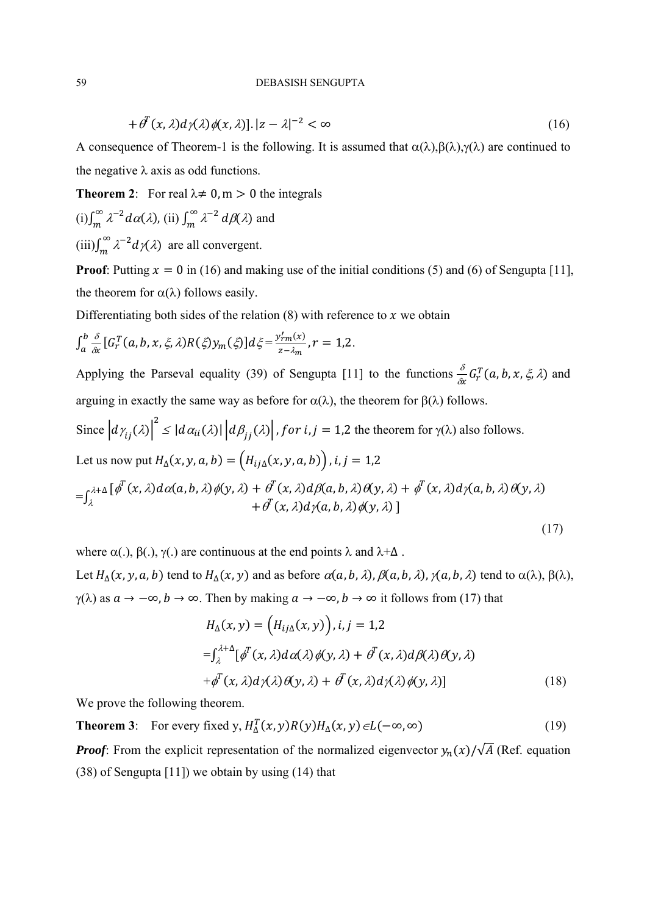$$
+\partial^T(x,\lambda)d\gamma(\lambda)\phi(x,\lambda)[.|z-\lambda|^{-2}<\infty\tag{16}
$$

A consequence of Theorem-1 is the following. It is assumed that  $\alpha(\lambda),\beta(\lambda),\gamma(\lambda)$  are continued to the negative  $\lambda$  axis as odd functions.

**Theorem 2**: For real  $\lambda \neq 0$ , m > 0 the integrals

(i) 
$$
\int_m^{\infty} \lambda^{-2} d\alpha(\lambda)
$$
, (ii)  $\int_m^{\infty} \lambda^{-2} d\beta(\lambda)$  and  
(iii)  $\int_m^{\infty} \lambda^{-2} d\gamma(\lambda)$  are all convergent.

**Proof**: Putting  $x = 0$  in (16) and making use of the initial conditions (5) and (6) of Sengupta [11], the theorem for  $\alpha(\lambda)$  follows easily.

Differentiating both sides of the relation  $(8)$  with reference to x we obtain

$$
\int_a^b \frac{\delta}{\delta x} \left[ G_r^T(a, b, x, \xi, \lambda) R(\xi) y_m(\xi) \right] d\xi = \frac{y'_{rm}(x)}{z - \lambda_m}, r = 1, 2.
$$

Applying the Parseval equality (39) of Sengupta [11] to the functions  $\frac{\delta}{\delta x} G_r^T(a, b, x, \xi, \lambda)$  and arguing in exactly the same way as before for  $\alpha(\lambda)$ , the theorem for  $\beta(\lambda)$  follows.

Since 
$$
\left| d\gamma_{ij}(\lambda) \right|^2 \leq |d\alpha_{ii}(\lambda)| \left| d\beta_{jj}(\lambda) \right|
$$
, for  $i, j = 1, 2$  the theorem for  $\gamma(\lambda)$  also follows.  
Let us now put  $H_{\Delta}(x, y, a, b) = (H_{ij\Delta}(x, y, a, b))$ ,  $i, j = 1, 2$ 

$$
= \int_{\lambda}^{\lambda+\Delta} [\phi^T(x,\lambda) d\alpha(a,b,\lambda) \phi(y,\lambda) + \phi^T(x,\lambda) d\beta(a,b,\lambda) \theta(y,\lambda) + \phi^T(x,\lambda) d\gamma(a,b,\lambda) \theta(y,\lambda) + \phi^T(x,\lambda) d\gamma(a,b,\lambda) \phi(y,\lambda)]
$$

(17)

where  $\alpha(.)$ ,  $\beta(.)$ ,  $\gamma(.)$  are continuous at the end points  $\lambda$  and  $\lambda + \Delta$ . Let  $H_{\Delta}(x, y, a, b)$  tend to  $H_{\Delta}(x, y)$  and as before  $\alpha(a, b, \lambda)$ ,  $\beta(a, b, \lambda)$ ,  $\gamma(a, b, \lambda)$  tend to  $\alpha(\lambda)$ ,  $\beta(\lambda)$ ,  $\gamma(\lambda)$  as  $a \to -\infty$ ,  $b \to \infty$ . Then by making  $a \to -\infty$ ,  $b \to \infty$  it follows from (17) that

$$
H_{\Delta}(x, y) = (H_{ij\Delta}(x, y)), i, j = 1, 2
$$
  

$$
= \int_{\lambda}^{\lambda + \Delta} [\phi^{T}(x, \lambda) d\alpha(\lambda) \phi(y, \lambda) + \phi^{T}(x, \lambda) d\beta(\lambda) \theta(y, \lambda)
$$
  

$$
+ \phi^{T}(x, \lambda) d\gamma(\lambda) \theta(y, \lambda) + \phi^{T}(x, \lambda) d\gamma(\lambda) \phi(y, \lambda)]
$$
 (18)

We prove the following theorem.

**Theorem 3**: For every fixed y,  $H^T_{\Delta}(x, y)R(y)H_{\Delta}(x, y) \in L(-\infty, \infty)$  (19)

*Proof*: From the explicit representation of the normalized eigenvector  $y_n(x)/\sqrt{A}$  (Ref. equation (38) of Sengupta [11]) we obtain by using (14) that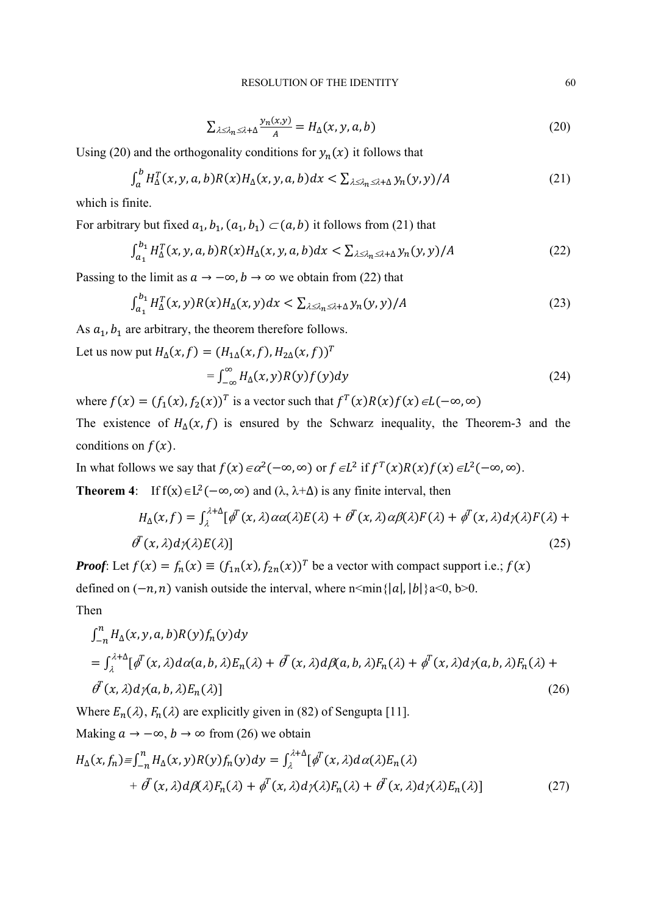$$
\sum_{\lambda \leq \lambda_n \leq \lambda + \Delta} \frac{y_n(x, y)}{A} = H_{\Delta}(x, y, a, b)
$$
\n(20)

Using (20) and the orthogonality conditions for  $y_n(x)$  it follows that

$$
\int_{a}^{b} H_{\Delta}^{T}(x, y, a, b) R(x) H_{\Delta}(x, y, a, b) dx < \sum_{\lambda \leq \lambda_n \leq \lambda + \Delta} y_n(y, y) / A
$$
\n(21)

which is finite.

For arbitrary but fixed  $a_1, b_1, (a_1, b_1) \subset (a, b)$  it follows from (21) that

$$
\int_{a_1}^{b_1} H_{\Delta}^T(x, y, a, b) R(x) H_{\Delta}(x, y, a, b) dx < \sum_{\lambda \leq \lambda_n \leq \lambda + \Delta} y_n(y, y) / A
$$
 (22)

Passing to the limit as  $a \to -\infty$ ,  $b \to \infty$  we obtain from (22) that

$$
\int_{a_1}^{b_1} H_{\Delta}^T(x, y) R(x) H_{\Delta}(x, y) dx < \sum_{\lambda \leq \lambda_n \leq \lambda + \Delta} y_n(y, y) / A
$$
\n(23)

As  $a_1$ ,  $b_1$  are arbitrary, the theorem therefore follows.

Let us now put  $H_{\Lambda}(x, f) = (H_{1\Lambda}(x, f), H_{2\Lambda}(x, f))^T$ 

$$
= \int_{-\infty}^{\infty} H_{\Delta}(x, y) R(y) f(y) dy \tag{24}
$$

where  $f(x) = (f_1(x), f_2(x))^T$  is a vector such that  $f^T(x)R(x)f(x) \in L(-\infty, \infty)$ 

The existence of  $H_{\Delta}(x, f)$  is ensured by the Schwarz inequality, the Theorem-3 and the conditions on  $f(x)$ .

In what follows we say that  $f(x) \in \alpha^2(-\infty, \infty)$  or  $f \in L^2$  if  $f^T(x)R(x)f(x) \in L^2(-\infty, \infty)$ .

**Theorem 4**: If  $f(x) \in L^2(-\infty, \infty)$  and  $(\lambda, \lambda+\Delta)$  is any finite interval, then

$$
H_{\Delta}(x,f) = \int_{\lambda}^{\lambda+\Delta} [\phi^{T}(x,\lambda)\alpha\alpha(\lambda)E(\lambda) + \phi^{T}(x,\lambda)\alpha\beta(\lambda)F(\lambda) + \phi^{T}(x,\lambda)d\gamma(\lambda)F(\lambda) + \phi^{T}(x,\lambda)d\gamma(\lambda)E(\lambda)]
$$
\n(25)

*Proof*: Let  $f(x) = f_n(x) \equiv (f_{1n}(x), f_{2n}(x))^T$  be a vector with compact support i.e.;  $f(x)$ defined on  $(-n, n)$  vanish outside the interval, where  $n \leq \min\{|a|, |b|\}$ a $\leq 0$ , b $\geq 0$ . Then

$$
\int_{-n}^{n} H_{\Delta}(x, y, a, b) R(y) f_n(y) dy
$$
\n
$$
= \int_{\lambda}^{\lambda + \Delta} [\phi^T(x, \lambda) d\alpha(a, b, \lambda) E_n(\lambda) + \phi^T(x, \lambda) d\beta(a, b, \lambda) F_n(\lambda) + \phi^T(x, \lambda) d\gamma(a, b, \lambda) F_n(\lambda) + \phi^T(x, \lambda) d\gamma(a, b, \lambda) E_n(\lambda)]
$$
\n(26)

Where  $E_n(\lambda)$ ,  $F_n(\lambda)$  are explicitly given in (82) of Sengupta [11].

Making 
$$
a \to -\infty
$$
,  $b \to \infty$  from (26) we obtain  
\n
$$
H_{\Delta}(x, f_n) = \int_{-n}^{n} H_{\Delta}(x, y) R(y) f_n(y) dy = \int_{\lambda}^{\lambda + \Delta} [\phi^T(x, \lambda) d\alpha(\lambda) E_n(\lambda) + \phi^T(x, \lambda) d\beta(\lambda) F_n(\lambda) + \phi^T(x, \lambda) d\gamma(\lambda) E_n(\lambda)]
$$
\n(27)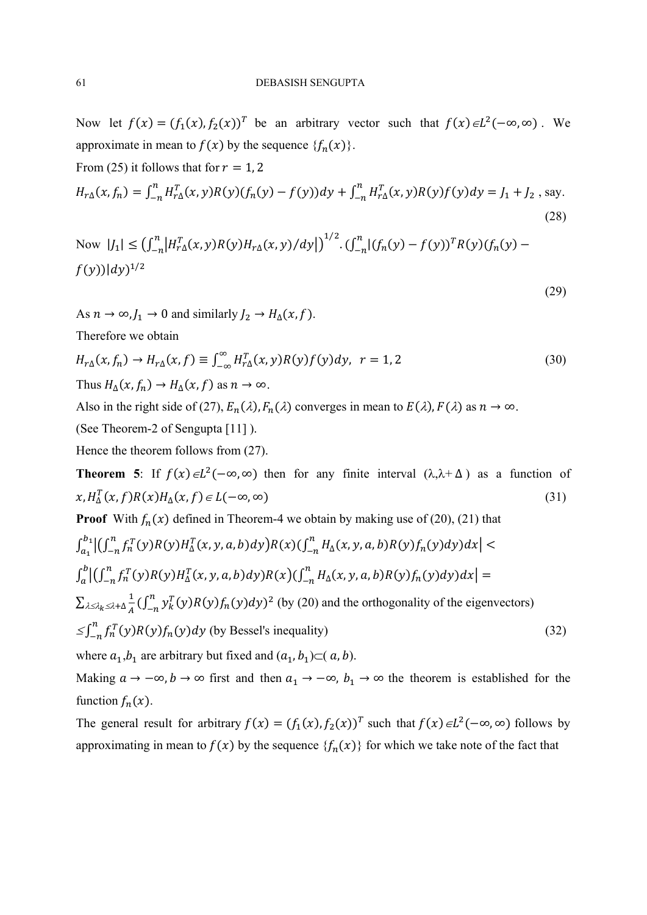Now let  $f(x) = (f_1(x), f_2(x))^T$  be an arbitrary vector such that  $f(x) \in L^2(-\infty, \infty)$ . We approximate in mean to  $f(x)$  by the sequence  ${f_n(x)}$ .

From (25) it follows that for 
$$
r = 1, 2
$$
  
\n
$$
H_{r\Delta}(x, f_n) = \int_{-n}^{n} H_{r\Delta}^T(x, y) R(y) (f_n(y) - f(y)) dy + \int_{-n}^{n} H_{r\Delta}^T(x, y) R(y) f(y) dy = J_1 + J_2
$$
\n(28)

Now  $|J_1| \leq (\int_{-n}^n |H_{r\Delta}^T(x, y)R(y)H_{r\Delta}(x, y)/dy|)^{1/2} \cdot (\int_{-n}^n |(f_n(y) - f(y))^T R(y)(f_n(y) - f(y))^T R(y)$  $f(y))|dy|^{1/2}$ 

(29)

As  $n \to \infty$ ,  $J_1 \to 0$  and similarly  $J_2 \to H_{\Delta}(x, f)$ .

Therefore we obtain

$$
H_{r\Delta}(x, f_n) \to H_{r\Delta}(x, f) \equiv \int_{-\infty}^{\infty} H_{r\Delta}^T(x, y) R(y) f(y) dy, \quad r = 1, 2
$$
\n
$$
\text{Thus } H_{\Delta}(x, f_n) \to H_{\Delta}(x, f) \text{ as } n \to \infty.
$$
\n(30)

Also in the right side of (27),  $E_n(\lambda)$ ,  $F_n(\lambda)$  converges in mean to  $E(\lambda)$ ,  $F(\lambda)$  as  $n \to \infty$ .

(See Theorem-2 of Sengupta [11] ).

Hence the theorem follows from (27).

**Theorem 5**: If  $f(x) \in L^2(-\infty, \infty)$  then for any finite interval  $(\lambda, \lambda + \Delta)$  as a function of  $x, H^T_{\Delta}(x, f)R(x)H_{\Delta}(x, f) \in L(-\infty, \infty)$  (31)

**Proof** With  $f_n(x)$  defined in Theorem-4 we obtain by making use of (20), (21) that

$$
\int_{a_1}^{b_1} \left| \int_{-n}^{n} f_n^T(y)R(y)H_{\Delta}^T(x, y, a, b)dy \right| R(x) \left( \int_{-n}^{n} H_{\Delta}(x, y, a, b)R(y) f_n(y)dy \right) dx \right| \n\int_{a}^{b} \left| \int_{-n}^{n} f_n^T(y)R(y)H_{\Delta}^T(x, y, a, b)dy \right| R(x) \left( \int_{-n}^{n} H_{\Delta}(x, y, a, b)R(y) f_n(y)dy \right) dx \right| =\n\sum_{\lambda \leq \lambda_k \leq \lambda + \Delta} \frac{1}{A} \left( \int_{-n}^{n} y_k^T(y)R(y) f_n(y)dy \right)^2 \text{ (by (20) and the orthogonality of the eigenvectors)}\n\leq \int_{-n}^{n} f_n^T(y)R(y) f_n(y)dy \text{ (by Bessel's inequality)}\n\tag{32}
$$

where  $a_1, b_1$  are arbitrary but fixed and  $(a_1, b_1) \subset (a, b)$ .

Making  $a \to -\infty$ ,  $b \to \infty$  first and then  $a_1 \to -\infty$ ,  $b_1 \to \infty$  the theorem is established for the function  $f_n(x)$ .

The general result for arbitrary  $f(x) = (f_1(x), f_2(x))^T$  such that  $f(x) \in L^2(-\infty, \infty)$  follows by approximating in mean to  $f(x)$  by the sequence  $\{f_n(x)\}\$  for which we take note of the fact that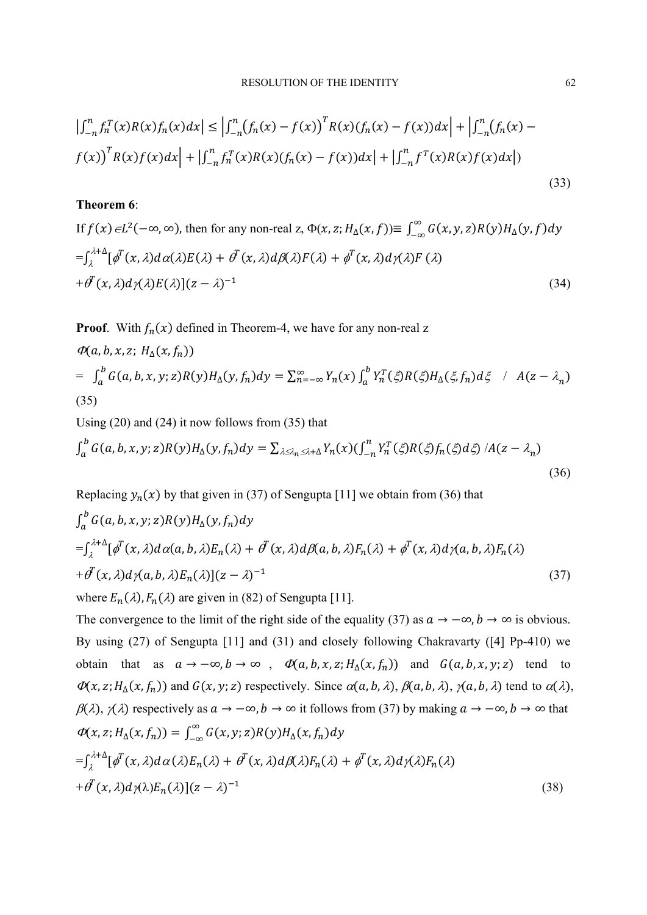$$
\left| \int_{-n}^{n} f_n^T(x) R(x) f_n(x) dx \right| \le \left| \int_{-n}^{n} (f_n(x) - f(x))^T R(x) (f_n(x) - f(x)) dx \right| + \left| \int_{-n}^{n} (f_n(x) - f(x))^T R(x) f(x) dx \right| + \left| \int_{-n}^{n} f^T(x) R(x) f(x) dx \right|
$$
  
(33)

# **Theorem 6**:

If  $f(x) \in L^2(-\infty, \infty)$ , then for any non-real z,  $\Phi(x, z; H_\Delta(x, f)) \equiv \int_{-\infty}^{\infty} G(x, y, z) R(y) H_\Delta(y, f) dy$  $\int_{\lambda}^{\lambda+\Delta}[\phi^{T}(x,\lambda)d\alpha(\lambda)E(\lambda)+\phi^{T}(x,\lambda)d\beta(\lambda)F(\lambda)+\phi^{T}(x,\lambda)d\gamma(\lambda)F(\lambda)]$  $+\partial^T(x,\lambda)d\gamma(\lambda)E(\lambda)[(z-\lambda)^{-1}]$  (34)

**Proof.** With  $f_n(x)$  defined in Theorem-4, we have for any non-real z

$$
\Phi(a, b, x, z; H_{\Delta}(x, f_n))
$$
\n
$$
= \int_a^b G(a, b, x, y; z) R(y) H_{\Delta}(y, f_n) dy = \sum_{n=-\infty}^{\infty} Y_n(x) \int_a^b Y_n^T(\xi) R(\xi) H_{\Delta}(\xi, f_n) d\xi \quad / \quad A(z - \lambda_n)
$$
\n(35)

Using (20) and (24) it now follows from (35) that

$$
\int_{a}^{b} G(a,b,x,y;z)R(y)H_{\Delta}(y,f_n)dy = \sum_{\lambda \leq \lambda_n \leq \lambda+\Delta} Y_n(x)(\int_{-n}^{n} Y_n^T(\xi)R(\xi)f_n(\xi)d\xi) / A(z-\lambda_n)
$$
\n(36)

Replacing  $y_n(x)$  by that given in (37) of Sengupta [11] we obtain from (36) that

$$
\int_{a}^{b} G(a, b, x, y; z) R(y) H_{\Delta}(y, f_n) dy
$$
  
\n
$$
= \int_{\lambda}^{\lambda + \Delta} [\phi^{T}(x, \lambda) d\alpha(a, b, \lambda) E_n(\lambda) + \phi^{T}(x, \lambda) d\beta(a, b, \lambda) F_n(\lambda) + \phi^{T}(x, \lambda) d\gamma(a, b, \lambda) F_n(\lambda)
$$
  
\n
$$
+ \phi^{T}(x, \lambda) d\gamma(a, b, \lambda) E_n(\lambda) [(z - \lambda)^{-1}]
$$
  
\nwhere  $E_n(\lambda), F_n(\lambda)$  are given in (82) of Sengupta [11].

The convergence to the limit of the right side of the equality (37) as  $a \to -\infty$ ,  $b \to \infty$  is obvious. By using (27) of Sengupta [11] and (31) and closely following Chakravarty ([4] Pp-410) we obtain that as  $a \to -\infty$ ,  $b \to \infty$ ,  $\Phi(a, b, x, z; H_{\Delta}(x, f_n))$  and  $G(a, b, x, y; z)$  tend to  $\Phi(x, z; H_{\Lambda}(x, f_n))$  and  $G(x, y; z)$  respectively. Since  $\alpha(a, b, \lambda)$ ,  $\beta(a, b, \lambda)$ ,  $\gamma(a, b, \lambda)$  tend to  $\alpha(\lambda)$ ,  $\beta(\lambda)$ ,  $\gamma(\lambda)$  respectively as  $a \to -\infty$ ,  $b \to \infty$  it follows from (37) by making  $a \to -\infty$ ,  $b \to \infty$  that  $\Phi(x, z; H_{\Delta}(x, f_n)) = \int_{-\infty}^{\infty} G(x, y; z) R(y) H_{\Delta}(x, f_n) dy$  $=\int_\lambda^{\lambda+\Delta}[\phi^T(x,\lambda)d\alpha(\lambda)E_n(\lambda)+\phi^T(x,\lambda)d\beta(\lambda)F_n(\lambda)]d\beta(\lambda)F_n(\lambda)$  $+\theta^T(x,\lambda)d\gamma(\lambda)E_n(\lambda)[(z-\lambda)^{-1}]$  (38)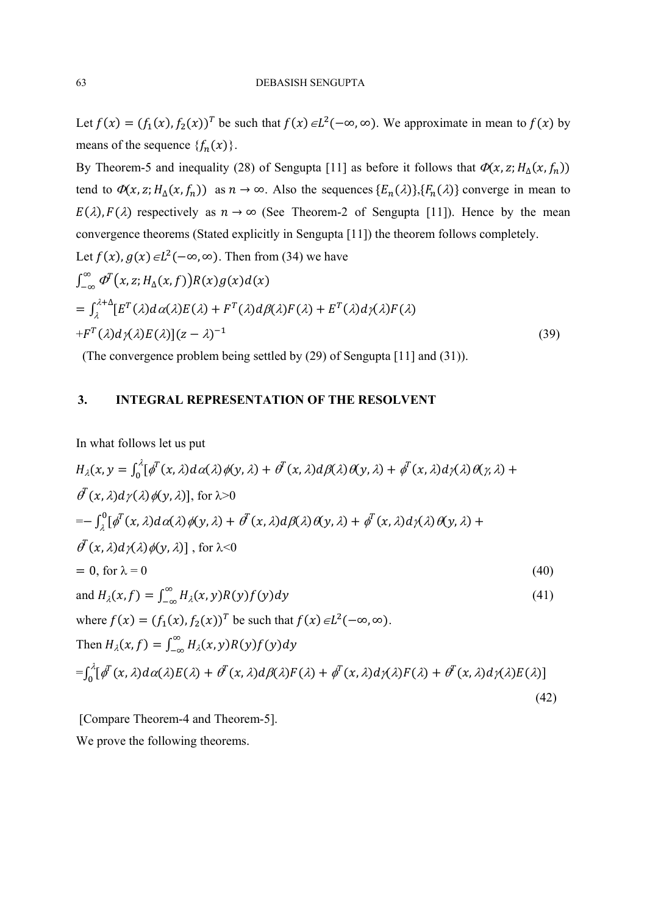Let  $f(x) = (f_1(x), f_2(x))^T$  be such that  $f(x) \in L^2(-\infty, \infty)$ . We approximate in mean to  $f(x)$  by means of the sequence  $\{f_n(x)\}\.$ 

By Theorem-5 and inequality (28) of Sengupta [11] as before it follows that  $\Phi(x, z; H_{\Delta}(x, f_n))$ tend to  $\Phi(x, z; H_{\Delta}(x, f_n))$  as  $n \to \infty$ . Also the sequences  $\{E_n(\lambda)\}, \{F_n(\lambda)\}\)$  converge in mean to  $E(\lambda)$ ,  $F(\lambda)$  respectively as  $n \to \infty$  (See Theorem-2 of Sengupta [11]). Hence by the mean convergence theorems (Stated explicitly in Sengupta [11]) the theorem follows completely. Let  $f(x)$ ,  $g(x) \in L^2(-\infty, \infty)$ . Then from (34) we have

$$
\int_{-\infty}^{\infty} \Phi^T(x, z; H_{\Delta}(x, f)) R(x) g(x) d(x)
$$
  
= 
$$
\int_{\lambda}^{\lambda+\Delta} [E^T(\lambda) d\alpha(\lambda) E(\lambda) + F^T(\lambda) d\beta(\lambda) F(\lambda) + E^T(\lambda) d\gamma(\lambda) F(\lambda)
$$
  
+
$$
F^T(\lambda) d\gamma(\lambda) E(\lambda) [(z - \lambda)^{-1}]
$$
 (39)

(The convergence problem being settled by (29) of Sengupta [11] and (31)).

# **3. INTEGRAL REPRESENTATION OF THE RESOLVENT**

In what follows let us put

$$
H_{\lambda}(x, y) = \int_{0}^{\lambda} [\phi^{T}(x, \lambda) d\alpha(\lambda) \phi(y, \lambda) + \phi^{T}(x, \lambda) d\beta(\lambda) \theta(y, \lambda) + \phi^{T}(x, \lambda) d\gamma(\lambda) \theta(y, \lambda) +
$$
  
\n
$$
\theta^{T}(x, \lambda) d\gamma(\lambda) \phi(y, \lambda)], \text{ for } \lambda > 0
$$
  
\n
$$
= -\int_{\lambda}^{0} [\phi^{T}(x, \lambda) d\alpha(\lambda) \phi(y, \lambda) + \phi^{T}(x, \lambda) d\beta(\lambda) \theta(y, \lambda) + \phi^{T}(x, \lambda) d\gamma(\lambda) \theta(y, \lambda) +
$$
  
\n
$$
\theta^{T}(x, \lambda) d\gamma(\lambda) \phi(y, \lambda)], \text{ for } \lambda < 0
$$
  
\n
$$
= 0, \text{ for } \lambda = 0
$$
  
\nand 
$$
H_{\lambda}(x, f) = \int_{-\infty}^{\infty} H_{\lambda}(x, y) R(y) f(y) dy
$$
  
\n
$$
\text{When } H_{\lambda}(x, f) = \int_{-\infty}^{\infty} H_{\lambda}(x, y) R(y) f(y) dy
$$
  
\n
$$
= \int_{0}^{\lambda} [\phi^{T}(x, \lambda) d\alpha(\lambda) E(\lambda) + \phi^{T}(x, \lambda) d\beta(\lambda) F(\lambda) + \phi^{T}(x, \lambda) d\gamma(\lambda) F(\lambda) + \phi^{T}(x, \lambda) d\gamma(\lambda) E(\lambda)]
$$
  
\n
$$
= \int_{0}^{\lambda} [\phi^{T}(x, \lambda) d\alpha(\lambda) E(\lambda) + \phi^{T}(x, \lambda) d\beta(\lambda) F(\lambda) + \phi^{T}(x, \lambda) d\gamma(\lambda) F(\lambda) + \phi^{T}(x, \lambda) d\gamma(\lambda) E(\lambda)]
$$
  
\n(42)

 [Compare Theorem-4 and Theorem-5]. We prove the following theorems.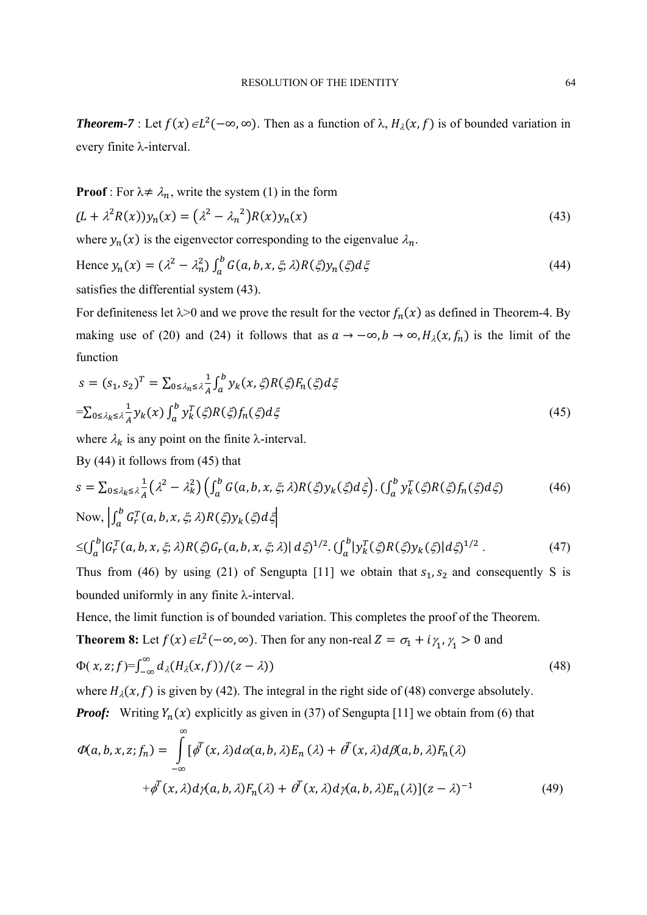**Theorem-7** : Let  $f(x) \in L^2(-\infty, \infty)$ . Then as a function of  $\lambda$ ,  $H_\lambda(x, f)$  is of bounded variation in every finite  $\lambda$ -interval.

**Proof**: For  $\lambda \neq \lambda_n$ , write the system (1) in the form

$$
(L + \lambda^2 R(x))y_n(x) = (\lambda^2 - \lambda_n^2)R(x)y_n(x)
$$
\n(43)

where  $y_n(x)$  is the eigenvector corresponding to the eigenvalue  $\lambda_n$ .

Hence 
$$
y_n(x) = (\lambda^2 - \lambda_n^2) \int_a^b G(a, b, x, \xi; \lambda) R(\xi) y_n(\xi) d\xi
$$
 (44)

satisfies the differential system (43).

For definiteness let  $\lambda > 0$  and we prove the result for the vector  $f_n(x)$  as defined in Theorem-4. By making use of (20) and (24) it follows that as  $a \to -\infty$ ,  $b \to \infty$ ,  $H_\lambda(x, f_n)$  is the limit of the function

$$
s = (s_1, s_2)^T = \sum_{0 \le \lambda_n \le \lambda} \frac{1}{A} \int_a^b y_k(x, \zeta) R(\zeta) F_n(\zeta) d\zeta
$$
  
= 
$$
\sum_{0 \le \lambda_k \le \lambda} \frac{1}{A} y_k(x) \int_a^b y_k^T(\zeta) R(\zeta) f_n(\zeta) d\zeta
$$
 (45)

where  $\lambda_k$  is any point on the finite  $\lambda$ -interval.

By (44) it follows from (45) that

$$
s = \sum_{0 \le \lambda_k \le \lambda} \frac{1}{A} \left( \lambda^2 - \lambda_k^2 \right) \left( \int_a^b G(a, b, x, \xi; \lambda) R(\xi) y_k(\xi) d\xi \right) . \left( \int_a^b y_k^T(\xi) R(\xi) f_n(\xi) d\xi \right) \tag{46}
$$

Now, 
$$
\left| \int_a^b G_r^T(a, b, x, \xi; \lambda) R(\xi) y_k(\xi) d\xi \right|
$$
  
\n $\leq \left( \int_a^b |G_r^T(a, b, x, \xi; \lambda) R(\xi) G_r(a, b, x, \xi; \lambda) | d\xi \right)^{1/2} \cdot \left( \int_a^b |y_k^T(\xi) R(\xi) y_k(\xi) | d\xi \right)^{1/2}$ . (47)

Thus from (46) by using (21) of Sengupta [11] we obtain that  $s_1, s_2$  and consequently S is bounded uniformly in any finite  $\lambda$ -interval.

Hence, the limit function is of bounded variation. This completes the proof of the Theorem.

**Theorem 8:** Let  $f(x) \in L^2(-\infty, \infty)$ . Then for any non-real  $Z = \sigma_1 + i\gamma_1$ ,  $\gamma_1 > 0$  and

$$
\Phi(\,x,z;f)=\int_{-\infty}^{\infty}d_{\lambda}(H_{\lambda}(x,f))/(z-\lambda))\tag{48}
$$

where  $H<sub>\lambda</sub>(x, f)$  is given by (42). The integral in the right side of (48) converge absolutely. *Proof:* Writing  $Y_n(x)$  explicitly as given in (37) of Sengupta [11] we obtain from (6) that

$$
\Phi(a, b, x, z; f_n) = \int_{-\infty}^{\infty} [\phi^T(x, \lambda) d\alpha(a, b, \lambda) E_n(\lambda) + \phi^T(x, \lambda) d\beta(a, b, \lambda) F_n(\lambda)
$$

$$
+ \phi^T(x, \lambda) d\gamma(a, b, \lambda) F_n(\lambda) + \phi^T(x, \lambda) d\gamma(a, b, \lambda) E_n(\lambda)](z - \lambda)^{-1}
$$
(49)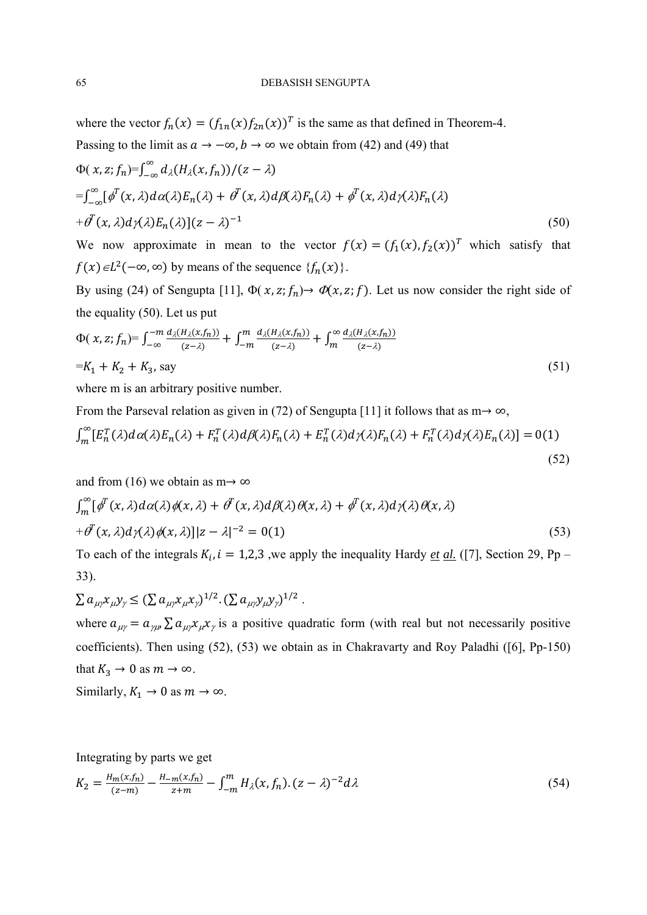where the vector  $f_n(x) = (f_{1n}(x) f_{2n}(x))^T$  is the same as that defined in Theorem-4. Passing to the limit as  $a \to -\infty$ ,  $b \to \infty$  we obtain from (42) and (49) that

$$
\Phi(x, z; f_n) = \int_{-\infty}^{\infty} d_{\lambda} (H_{\lambda}(x, f_n)) / (z - \lambda)
$$
  
\n
$$
= \int_{-\infty}^{\infty} [\phi^T(x, \lambda) d\alpha(\lambda) E_n(\lambda) + \phi^T(x, \lambda) d\beta(\lambda) F_n(\lambda) + \phi^T(x, \lambda) d\gamma(\lambda) F_n(\lambda)
$$
  
\n
$$
+ \phi^T(x, \lambda) d\gamma(\lambda) E_n(\lambda) [(z - \lambda)^{-1}]
$$
\n(50)

We now approximate in mean to the vector  $f(x) = (f_1(x), f_2(x))^T$  which satisfy that  $f(x) \in L^2(-\infty, \infty)$  by means of the sequence  $\{f_n(x)\}.$ 

By using (24) of Sengupta [11],  $\Phi(x, z; f_n) \to \Phi(x, z; f)$ . Let us now consider the right side of the equality (50). Let us put

$$
\Phi(\chi, z; f_n) = \int_{-\infty}^{-m} \frac{d_{\lambda}(H_{\lambda}(x, f_n))}{(z - \lambda)} + \int_{-m}^{m} \frac{d_{\lambda}(H_{\lambda}(x, f_n))}{(z - \lambda)} + \int_{m}^{\infty} \frac{d_{\lambda}(H_{\lambda}(x, f_n))}{(z - \lambda)}
$$
\n
$$
= K_1 + K_2 + K_3, \text{ say} \tag{51}
$$

where m is an arbitrary positive number.

From the Parseval relation as given in (72) of Sengupta [11] it follows that as  $m \rightarrow \infty$ ,

$$
\int_{m}^{\infty} \left[ E_n^T(\lambda) d\alpha(\lambda) E_n(\lambda) + F_n^T(\lambda) d\beta(\lambda) F_n(\lambda) + E_n^T(\lambda) d\gamma(\lambda) F_n(\lambda) + F_n^T(\lambda) d\gamma(\lambda) E_n(\lambda) \right] = 0(1)
$$
\n(52)

and from (16) we obtain as m $\rightarrow \infty$ 

$$
\int_{m}^{\infty} [\phi^{T}(x,\lambda)d\alpha(\lambda)\phi(x,\lambda) + \phi^{T}(x,\lambda)d\beta(\lambda)\theta(x,\lambda) + \phi^{T}(x,\lambda)d\gamma(\lambda)\theta(x,\lambda)
$$
  
+  $\phi^{T}(x,\lambda)d\gamma(\lambda)\phi(x,\lambda)]|z - \lambda|^{-2} = O(1)$  (53)

To each of the integrals  $K_i$ ,  $i = 1,2,3$ , we apply the inequality Hardy *et al.* ([7], Section 29, Pp – 33).

$$
\sum a_{\mu\gamma} x_{\mu} y_{\gamma} \leq (\sum a_{\mu\gamma} x_{\mu} x_{\gamma})^{1/2} . (\sum a_{\mu\gamma} y_{\mu} y_{\gamma})^{1/2} .
$$

where  $a_{\mu\nu} = a_{\nu\mu} \sum a_{\mu\nu} x_{\nu} x_{\nu}$  is a positive quadratic form (with real but not necessarily positive coefficients). Then using (52), (53) we obtain as in Chakravarty and Roy Paladhi ([6], Pp-150) that  $K_3 \to 0$  as  $m \to \infty$ .

Similarly,  $K_1 \rightarrow 0$  as  $m \rightarrow \infty$ .

Integrating by parts we get

$$
K_2 = \frac{H_m(x, f_n)}{(z - m)} - \frac{H_{-m}(x, f_n)}{z + m} - \int_{-m}^m H_\lambda(x, f_n) \cdot (z - \lambda)^{-2} d\lambda \tag{54}
$$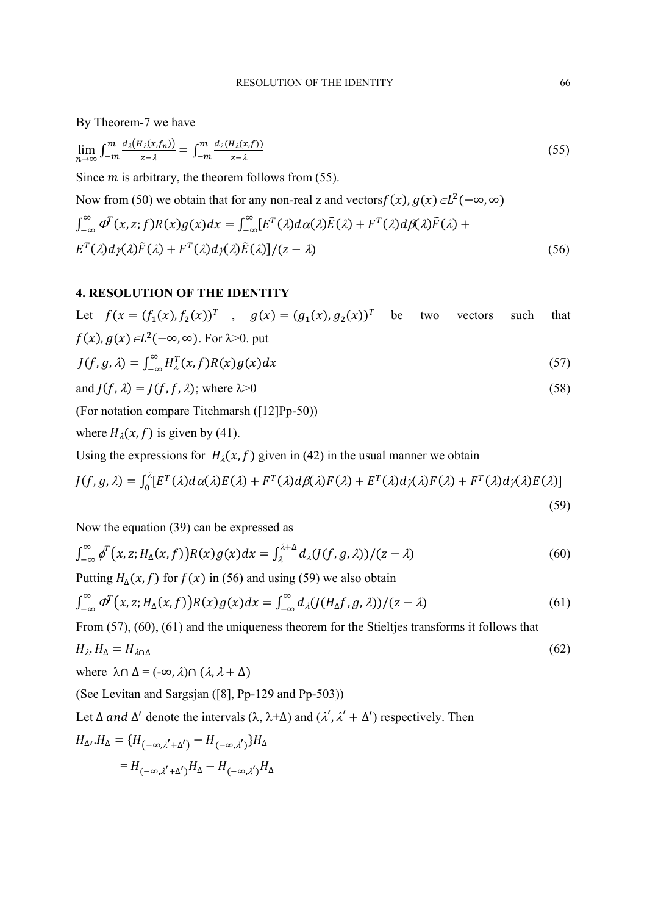By Theorem-7 we have

$$
\lim_{n \to \infty} \int_{-m}^{m} \frac{d_{\lambda}(H_{\lambda}(x, f_n))}{z - \lambda} = \int_{-m}^{m} \frac{d_{\lambda}(H_{\lambda}(x, f))}{z - \lambda} \tag{55}
$$

Since  $m$  is arbitrary, the theorem follows from (55).

Now from (50) we obtain that for any non-real z and vectors  $f(x)$ ,  $g(x) \in L^2(-\infty, \infty)$ 

$$
\int_{-\infty}^{\infty} \Phi^{T}(x, z; f) R(x) g(x) dx = \int_{-\infty}^{\infty} [E^{T}(\lambda) d\alpha(\lambda) \tilde{E}(\lambda) + F^{T}(\lambda) d\beta(\lambda) \tilde{F}(\lambda) + E^{T}(\lambda) d\gamma(\lambda) \tilde{F}(\lambda) + F^{T}(\lambda) d\gamma(\lambda) \tilde{E}(\lambda)]/(z - \lambda)
$$
\n(56)

# **4. RESOLUTION OF THE IDENTITY**

Let  $f(x = (f_1(x), f_2(x))^T$ ,  $g(x) = (g_1(x), g_2(x))^T$  be two vectors such that  $f(x)$ ,  $g(x) \in L^2(-\infty, \infty)$ . For  $\lambda > 0$ . put

$$
J(f, g, \lambda) = \int_{-\infty}^{\infty} H_{\lambda}^{T}(x, f) R(x) g(x) dx
$$
\n(57)

and 
$$
J(f, \lambda) = J(f, f, \lambda)
$$
; where  $\lambda > 0$  (58)

(For notation compare Titchmarsh ([12]Pp-50))

where  $H<sub>\lambda</sub>(x, f)$  is given by (41).

Using the expressions for  $H<sub>\lambda</sub>(x, f)$  given in (42) in the usual manner we obtain

$$
J(f,g,\lambda) = \int_0^{\lambda} [E^T(\lambda) d\alpha(\lambda) E(\lambda) + F^T(\lambda) d\beta(\lambda) F(\lambda) + E^T(\lambda) d\gamma(\lambda) F(\lambda) + F^T(\lambda) d\gamma(\lambda) E(\lambda)]
$$
\n(59)

Now the equation (39) can be expressed as

$$
\int_{-\infty}^{\infty} \phi^T(x, z; H_{\Delta}(x, f)) R(x) g(x) dx = \int_{\lambda}^{\lambda + \Delta} d_{\lambda} (J(f, g, \lambda)) / (z - \lambda)
$$
 (60)

Putting  $H_{\Lambda}(x, f)$  for  $f(x)$  in (56) and using (59) we also obtain

$$
\int_{-\infty}^{\infty} \varPhi^{T}(x, z; H_{\Delta}(x, f)) R(x) g(x) dx = \int_{-\infty}^{\infty} d_{\lambda} (J(H_{\Delta}f, g, \lambda)) / (z - \lambda)
$$
 (61)

From (57), (60), (61) and the uniqueness theorem for the Stieltjes transforms it follows that

$$
H_{\lambda} \cdot H_{\Delta} = H_{\lambda \cap \Delta} \tag{62}
$$

where 
$$
\lambda \cap \Delta = (-\infty, \lambda) \cap (\lambda, \lambda + \Delta)
$$

(See Levitan and Sargsjan ([8], Pp-129 and Pp-503))

Let  $\Delta$  and  $\Delta'$  denote the intervals  $(\lambda, \lambda+\Delta)$  and  $(\lambda', \lambda'+\Delta')$  respectively. Then

$$
H_{\Delta r}.H_{\Delta} = \{H_{(-\infty,\lambda'+\Delta')} - H_{(-\infty,\lambda')}\}H_{\Delta}
$$

$$
= H_{(-\infty,\lambda'+\Delta')}H_{\Delta} - H_{(-\infty,\lambda')}H_{\Delta}
$$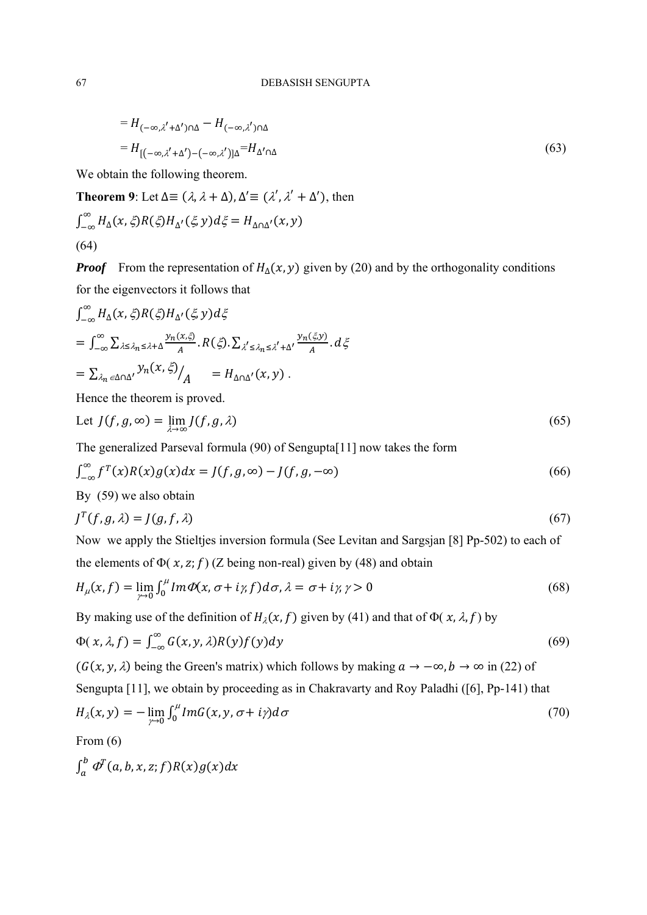$$
=H_{(-\infty,\lambda'+\Delta')\cap\Delta}-H_{(-\infty,\lambda')\cap\Delta}
$$
  

$$
=H_{[(-\infty,\lambda'+\Delta')-(-\infty,\lambda')]\Delta}=H_{\Delta'\cap\Delta}
$$
 (63)

We obtain the following theorem.

**Theorem 9**: Let  $\Delta \equiv (\lambda, \lambda + \Delta), \Delta' \equiv (\lambda', \lambda' + \Delta')$ , then

$$
\int_{-\infty}^{\infty} H_{\Delta}(x,\xi) R(\xi) H_{\Delta'}(\xi, y) d\xi = H_{\Delta \cap \Delta'}(x, y)
$$
\n(64)

*Proof* From the representation of  $H_{\Delta}(x, y)$  given by (20) and by the orthogonality conditions for the eigenvectors it follows that

$$
\int_{-\infty}^{\infty} H_{\Delta}(x, \xi) R(\xi) H_{\Delta}(\xi, y) d\xi
$$
\n
$$
= \int_{-\infty}^{\infty} \sum_{\lambda \leq \lambda_n \leq \lambda + \Delta} \frac{y_n(x, \xi)}{A} \cdot R(\xi) \cdot \sum_{\lambda' \leq \lambda_n \leq \lambda' + \Delta'} \frac{y_n(\xi, y)}{A} \cdot d\xi
$$
\n
$$
= \sum_{\lambda_n \in \Delta \cap \Delta'} y_n(x, \xi) / A = H_{\Delta \cap \Delta'}(x, y) .
$$

Hence the theorem is proved.

Let 
$$
J(f, g, \infty) = \lim_{\lambda \to \infty} J(f, g, \lambda)
$$
 (65)

The generalized Parseval formula (90) of Sengupta[11] now takes the form

$$
\int_{-\infty}^{\infty} f^{T}(x)R(x)g(x)dx = J(f, g, \infty) - J(f, g, -\infty)
$$
\n(66)

By (59) we also obtain

$$
J^T(f, g, \lambda) = J(g, f, \lambda) \tag{67}
$$

Now we apply the Stieltjes inversion formula (See Levitan and Sargsjan [8] Pp-502) to each of

the elements of  $\Phi(x, z; f)$  (Z being non-real) given by (48) and obtain

$$
H_{\mu}(x,f) = \lim_{\gamma \to 0} \int_0^{\mu} Im \Phi(x,\sigma + i\gamma, f) d\sigma, \lambda = \sigma + i\gamma, \gamma > 0
$$
\n(68)

By making use of the definition of  $H<sub>\lambda</sub>(x, f)$  given by (41) and that of  $\Phi(x, \lambda, f)$  by

$$
\Phi(x,\lambda,f) = \int_{-\infty}^{\infty} G(x,y,\lambda)R(y)f(y)dy\tag{69}
$$

 $(G(x, y, \lambda))$  being the Green's matrix) which follows by making  $a \to -\infty$ ,  $b \to \infty$  in (22) of Sengupta [11], we obtain by proceeding as in Chakravarty and Roy Paladhi ([6], Pp-141) that

$$
H_{\lambda}(x,y) = -\lim_{\gamma \to 0} \int_0^{\mu} Im G(x,y,\sigma + i\gamma) d\sigma \tag{70}
$$

From (6)

$$
\int_a^b\varPhi^T(a,b,x,z;f)R(x)g(x)dx
$$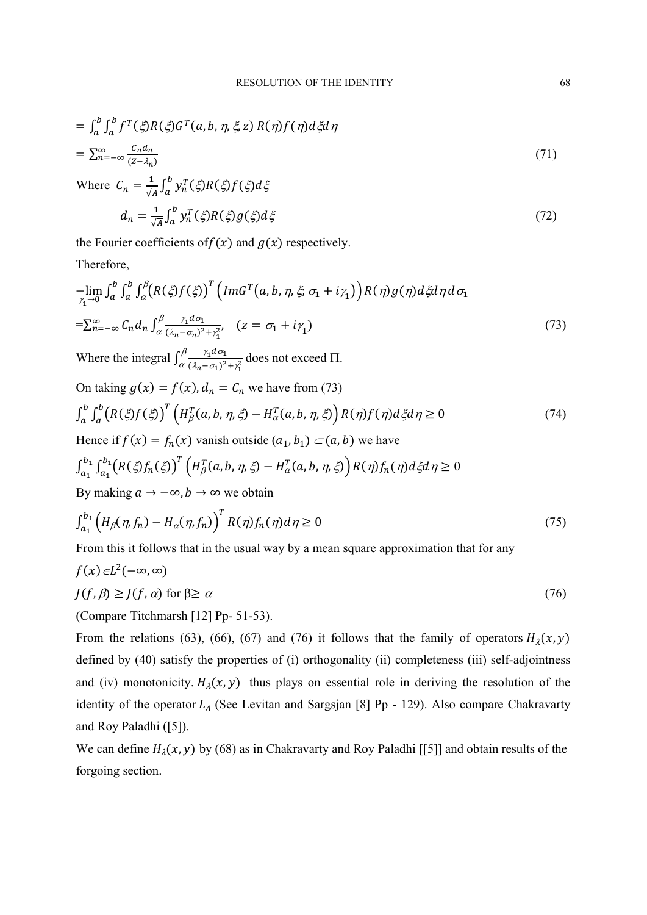$$
= \int_{a}^{b} \int_{a}^{b} f^{T}(\xi) R(\xi) G^{T}(a, b, \eta, \xi, z) R(\eta) f(\eta) d\xi d\eta
$$
  
= 
$$
\sum_{n=-\infty}^{\infty} \frac{c_{n} d_{n}}{(z - \lambda_{n})}
$$
 (71)

Where 
$$
C_n = \frac{1}{\sqrt{A}} \int_a^b y_n^T(\xi) R(\xi) f(\xi) d\xi
$$

$$
d_n = \frac{1}{\sqrt{A}} \int_a^b y_n^T(\xi) R(\xi) g(\xi) d\xi \tag{72}
$$

the Fourier coefficients of  $f(x)$  and  $g(x)$  respectively.

Therefore,

$$
-\lim_{\gamma_1 \to 0} \int_a^b \int_a^b \int_\alpha^\beta \left( R(\xi) f(\xi) \right)^T \left( Im G^T(a, b, \eta, \xi; \sigma_1 + i\gamma_1) \right) R(\eta) g(\eta) d\xi d\eta d\sigma_1
$$
  
= 
$$
\sum_{n=-\infty}^{\infty} C_n d_n \int_\alpha^\beta \frac{\gamma_1 d\sigma_1}{(\lambda_n - \sigma_1)^2 + \gamma_1^2}, \quad (z = \sigma_1 + i\gamma_1)
$$
 (73)

Where the integral  $\int_{\alpha}^{\beta} \frac{\gamma_1 d\sigma_1}{(\lambda_n - \sigma_1)^2 + \gamma_1^2}$  $\frac{\gamma_1 d\sigma_1}{\alpha}$   $\frac{\gamma_1 d\sigma_1}{(\lambda_2 - \sigma_1)^2 + \gamma^2}$  does not exceed  $\Pi$ .

On taking  $g(x) = f(x)$ ,  $d_n = C_n$  we have from (73)

$$
\int_{a}^{b} \int_{a}^{b} \left( R(\xi) f(\xi) \right)^{T} \left( H_{\beta}^{T}(a, b, \eta, \xi) - H_{\alpha}^{T}(a, b, \eta, \xi) \right) R(\eta) f(\eta) d\xi d\eta \ge 0 \tag{74}
$$

Hence if 
$$
f(x) = f_n(x)
$$
 vanish outside  $(a_1, b_1) \subset (a, b)$  we have

$$
\int_{a_1}^{b_1} \int_{a_1}^{b_1} \bigl(R(\xi) f_n(\xi)\bigr)^T \Bigl(H_\beta^T(a, b, \eta, \xi) - H_\alpha^T(a, b, \eta, \xi)\Bigr) R(\eta) f_n(\eta) d\xi d\eta \ge 0
$$

By making  $a \to -\infty$ ,  $b \to \infty$  we obtain

$$
\int_{a_1}^{b_1} \left( H_{\beta}(\eta, f_n) - H_{\alpha}(\eta, f_n) \right)^T R(\eta) f_n(\eta) d\eta \ge 0
$$
\n(75)

From this it follows that in the usual way by a mean square approximation that for any

$$
f(x) \in L^{2}(-\infty, \infty)
$$
  

$$
J(f, \beta) \ge J(f, \alpha) \text{ for } \beta \ge \alpha
$$
 (76)

(Compare Titchmarsh [12] Pp- 51-53).

From the relations (63), (66), (67) and (76) it follows that the family of operators  $H<sub>2</sub>(x, y)$ defined by (40) satisfy the properties of (i) orthogonality (ii) completeness (iii) self-adjointness and (iv) monotonicity.  $H_{\lambda}(x, y)$  thus plays on essential role in deriving the resolution of the identity of the operator  $L_A$  (See Levitan and Sargsjan [8] Pp - 129). Also compare Chakravarty and Roy Paladhi ([5]).

We can define  $H_{\lambda}(x, y)$  by (68) as in Chakravarty and Roy Paladhi [[5]] and obtain results of the forgoing section.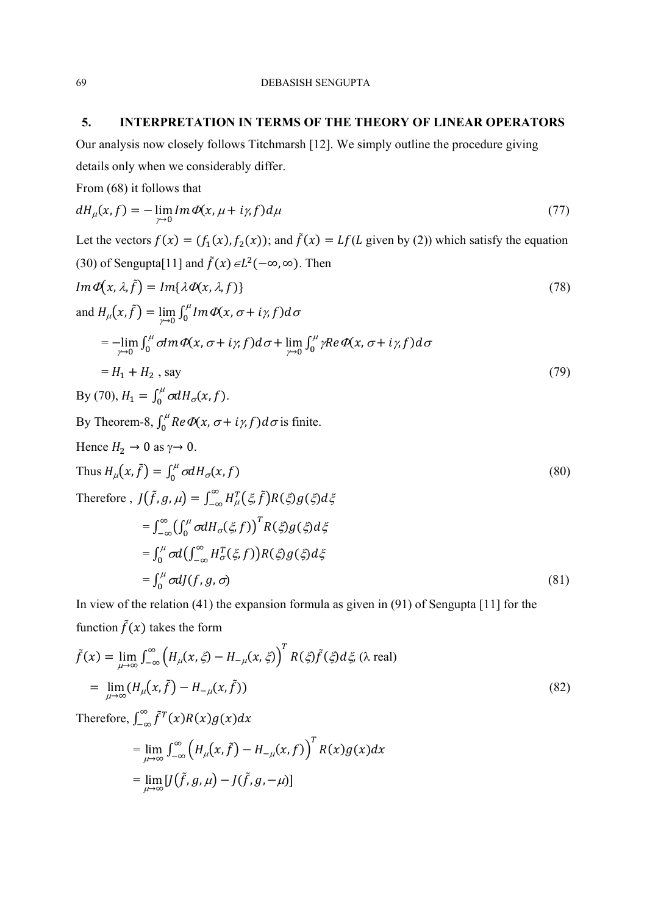## **5. INTERPRETATION IN TERMS OF THE THEORY OF LINEAR OPERATORS**

Our analysis now closely follows Titchmarsh [12]. We simply outline the procedure giving details only when we considerably differ.

From (68) it follows that

$$
dH_{\mu}(x,f) = -\lim_{\gamma \to 0} Im \Phi(x,\mu + i\gamma, f) d\mu \tag{77}
$$

Let the vectors  $f(x) = (f_1(x), f_2(x))$ ; and  $\tilde{f}(x) = Lf(L$  given by (2)) which satisfy the equation (30) of Sengupta[11] and  $\tilde{f}(x) \in L^2(-\infty, \infty)$ . Then

$$
Im \Phi(x, \lambda, \tilde{f}) = Im{\lambda \Phi(x, \lambda, f)}
$$
\n(78)

and  $H_{\mu}(x, \tilde{f}) = \lim_{\gamma \to 0} \int_0^{\mu} Im \, \Phi(x, \sigma + i \gamma, f) d\sigma$  $=-\lim_{\gamma\to 0}\int_0^\mu\sigma Im\varPhi(x,\sigma+i\gamma,f)d\sigma+\lim_{\gamma\to 0}\int_0^\mu\gamma Re\varPhi(x,\sigma+i\gamma,f)d\sigma$  $\int_0^\mu \sigma dm \varPhi(x, \sigma + i\gamma f) d\sigma + \lim_{\gamma \to 0} \int_0^\mu \gamma Re \varPhi(x, \sigma + i\gamma f) d\sigma$  $= H_1 + H_2$ , say (79)

By (70), 
$$
H_1 = \int_0^{\mu} \sigma dH_{\sigma}(x, f)
$$
.  
\nBy Theorem-8,  $\int_0^{\mu} Re \Phi(x, \sigma + i\gamma, f) d\sigma$  is finite.  
\nHence  $H_2 \to 0$  as  $\gamma \to 0$ .  
\nThus  $H_{\mu}(x, \tilde{f}) = \int_0^{\mu} \sigma dH_{\sigma}(x, f)$   
\nTherefore,  $J(\tilde{f}, g, \mu) = \int_{-\infty}^{\infty} H_{\mu}^T(\xi, \tilde{f}) R(\xi) g(\xi) d\xi$   
\n $= \int_{-\infty}^{\infty} (\int_0^{\mu} \sigma dH_{\sigma}(\xi, f))^T R(\xi) g(\xi) d\xi$   
\n $= \int_0^{\mu} \sigma d(\int_{-\infty}^{\infty} H_{\sigma}^T(\xi, f)) R(\xi) g(\xi) d\xi$   
\n $= \int_0^{\mu} \sigma dJ(f, g, \sigma)$  (81)

In view of the relation (41) the expansion formula as given in (91) of Sengupta [11] for the function  $\tilde{f}(x)$  takes the form

$$
\tilde{f}(x) = \lim_{\mu \to \infty} \int_{-\infty}^{\infty} \left( H_{\mu}(x, \xi) - H_{-\mu}(x, \xi) \right)^{T} R(\xi) \tilde{f}(\xi) d\xi, \text{ (a real)}
$$
\n
$$
= \lim_{\mu \to \infty} (H_{\mu}(x, \tilde{f}) - H_{-\mu}(x, \tilde{f})) \tag{82}
$$

Therefore,  $\int_{-\infty}^{\infty} \tilde{f}^{T}(x) R(x) g(x) dx$ 

$$
= \lim_{\mu \to \infty} \int_{-\infty}^{\infty} \left( H_{\mu}(x, \tilde{f}) - H_{-\mu}(x, f) \right)^{T} R(x) g(x) dx
$$

$$
= \lim_{\mu \to \infty} [J(\tilde{f}, g, \mu) - J(\tilde{f}, g, -\mu)]
$$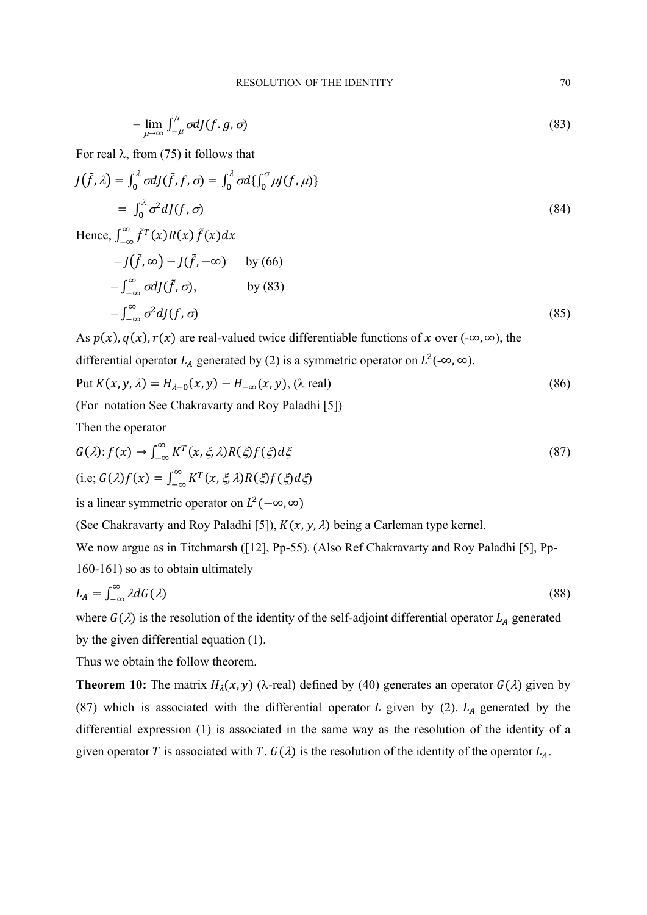$$
= \lim_{\mu \to \infty} \int_{-\mu}^{\mu} \sigma dJ(f, g, \sigma) \tag{83}
$$

For real  $\lambda$ , from (75) it follows that

$$
J(\tilde{f}, \lambda) = \int_0^{\lambda} \sigma dJ(\tilde{f}, f, \sigma) = \int_0^{\lambda} \sigma d\{ \int_0^{\sigma} \mu J(f, \mu) \}
$$
  
=  $\int_0^{\lambda} \sigma^2 dJ(f, \sigma)$  (84)

Hence, 
$$
\int_{-\infty}^{\infty} \tilde{f}^{T}(x)R(x) \tilde{f}(x) dx
$$
  
\n
$$
= J(\tilde{f}, \infty) - J(\tilde{f}, -\infty) \quad \text{by (66)}
$$
  
\n
$$
= \int_{-\infty}^{\infty} \sigma dJ(\tilde{f}, \sigma), \quad \text{by (83)}
$$
  
\n
$$
= \int_{-\infty}^{\infty} \sigma^{2} dJ(f, \sigma) \quad (85)
$$

As  $p(x)$ ,  $q(x)$ ,  $r(x)$  are real-valued twice differentiable functions of x over (-∞, ∞), the

differential operator  $L_A$  generated by (2) is a symmetric operator on  $L^2(-\infty, \infty)$ .

Put 
$$
K(x, y, \lambda) = H_{\lambda - 0}(x, y) - H_{-\infty}(x, y)
$$
, ( $\lambda$  real) 
$$
(86)
$$

(For notation See Chakravarty and Roy Paladhi [5])

Then the operator

$$
G(\lambda): f(x) \to \int_{-\infty}^{\infty} K^{T}(x, \xi, \lambda) R(\xi) f(\xi) d\xi
$$
  
(i.e;  $G(\lambda) f(x) = \int_{-\infty}^{\infty} K^{T}(x, \xi, \lambda) R(\xi) f(\xi) d\xi$ ) (87)

is a linear symmetric operator on  $L^2(-\infty, \infty)$ 

(See Chakravarty and Roy Paladhi [5]),  $K(x, y, \lambda)$  being a Carleman type kernel.

We now argue as in Titchmarsh ([12], Pp-55). (Also Ref Chakravarty and Roy Paladhi [5], Pp-

160-161) so as to obtain ultimately

$$
L_A = \int_{-\infty}^{\infty} \lambda dG(\lambda) \tag{88}
$$

where  $G(\lambda)$  is the resolution of the identity of the self-adjoint differential operator  $L_A$  generated by the given differential equation (1).

Thus we obtain the follow theorem.

**Theorem 10:** The matrix  $H_{\lambda}(x, y)$  ( $\lambda$ -real) defined by (40) generates an operator  $G(\lambda)$  given by (87) which is associated with the differential operator L given by (2).  $L_A$  generated by the differential expression (1) is associated in the same way as the resolution of the identity of a given operator T is associated with T.  $G(\lambda)$  is the resolution of the identity of the operator  $L_A$ .